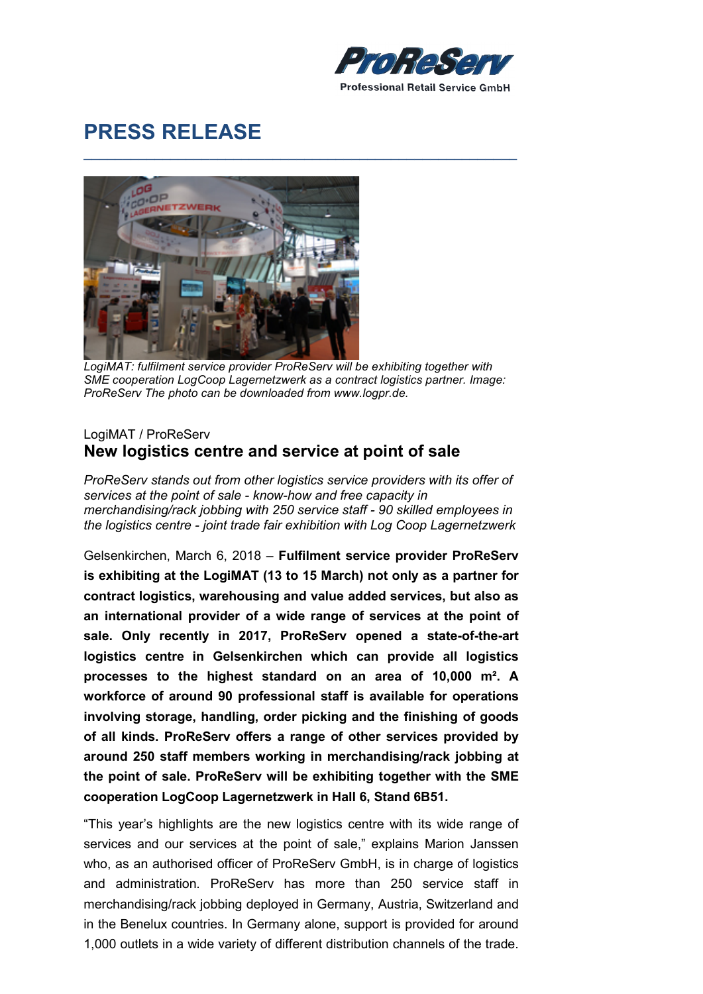

## PRESS RELEASE



LogiMAT: fulfilment service provider ProReServ will be exhibiting together with SME cooperation LogCoop Lagernetzwerk as a contract logistics partner. Image: ProReServ The photo can be downloaded from www.logpr.de.

 $\_$  , and the set of the set of the set of the set of the set of the set of the set of the set of the set of the set of the set of the set of the set of the set of the set of the set of the set of the set of the set of th

## LogiMAT / ProReServ New logistics centre and service at point of sale

ProReServ stands out from other logistics service providers with its offer of services at the point of sale - know-how and free capacity in merchandising/rack jobbing with 250 service staff - 90 skilled employees in the logistics centre - joint trade fair exhibition with Log Coop Lagernetzwerk

Gelsenkirchen, March 6, 2018 – Fulfilment service provider ProReServ is exhibiting at the LogiMAT (13 to 15 March) not only as a partner for contract logistics, warehousing and value added services, but also as an international provider of a wide range of services at the point of sale. Only recently in 2017, ProReServ opened a state-of-the-art logistics centre in Gelsenkirchen which can provide all logistics processes to the highest standard on an area of 10,000 m². A workforce of around 90 professional staff is available for operations involving storage, handling, order picking and the finishing of goods of all kinds. ProReServ offers a range of other services provided by around 250 staff members working in merchandising/rack jobbing at the point of sale. ProReServ will be exhibiting together with the SME cooperation LogCoop Lagernetzwerk in Hall 6, Stand 6B51.

"This year's highlights are the new logistics centre with its wide range of services and our services at the point of sale," explains Marion Janssen who, as an authorised officer of ProReServ GmbH, is in charge of logistics and administration. ProReServ has more than 250 service staff in merchandising/rack jobbing deployed in Germany, Austria, Switzerland and in the Benelux countries. In Germany alone, support is provided for around 1,000 outlets in a wide variety of different distribution channels of the trade.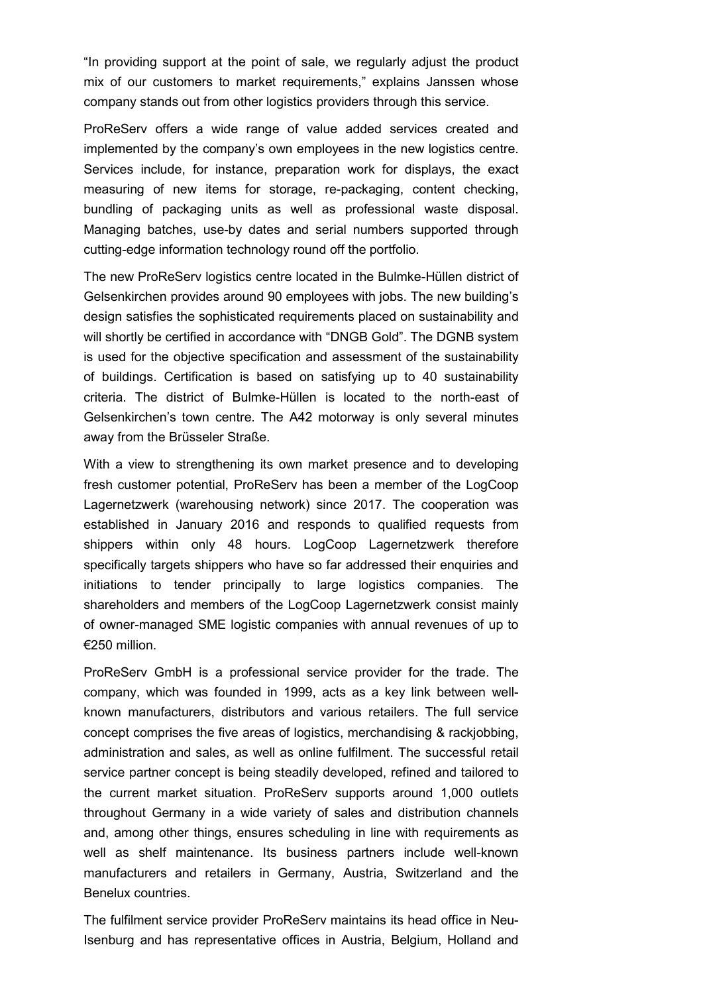"In providing support at the point of sale, we regularly adjust the product mix of our customers to market requirements," explains Janssen whose company stands out from other logistics providers through this service.

ProReServ offers a wide range of value added services created and implemented by the company's own employees in the new logistics centre. Services include, for instance, preparation work for displays, the exact measuring of new items for storage, re-packaging, content checking, bundling of packaging units as well as professional waste disposal. Managing batches, use-by dates and serial numbers supported through cutting-edge information technology round off the portfolio.

The new ProReServ logistics centre located in the Bulmke-Hüllen district of Gelsenkirchen provides around 90 employees with jobs. The new building's design satisfies the sophisticated requirements placed on sustainability and will shortly be certified in accordance with "DNGB Gold". The DGNB system is used for the objective specification and assessment of the sustainability of buildings. Certification is based on satisfying up to 40 sustainability criteria. The district of Bulmke-Hüllen is located to the north-east of Gelsenkirchen's town centre. The A42 motorway is only several minutes away from the Brüsseler Straße.

With a view to strengthening its own market presence and to developing fresh customer potential, ProReServ has been a member of the LogCoop Lagernetzwerk (warehousing network) since 2017. The cooperation was established in January 2016 and responds to qualified requests from shippers within only 48 hours. LogCoop Lagernetzwerk therefore specifically targets shippers who have so far addressed their enquiries and initiations to tender principally to large logistics companies. The shareholders and members of the LogCoop Lagernetzwerk consist mainly of owner-managed SME logistic companies with annual revenues of up to €250 million.

ProReServ GmbH is a professional service provider for the trade. The company, which was founded in 1999, acts as a key link between wellknown manufacturers, distributors and various retailers. The full service concept comprises the five areas of logistics, merchandising & rackjobbing, administration and sales, as well as online fulfilment. The successful retail service partner concept is being steadily developed, refined and tailored to the current market situation. ProReServ supports around 1,000 outlets throughout Germany in a wide variety of sales and distribution channels and, among other things, ensures scheduling in line with requirements as well as shelf maintenance. Its business partners include well-known manufacturers and retailers in Germany, Austria, Switzerland and the Benelux countries.

The fulfilment service provider ProReServ maintains its head office in Neu-Isenburg and has representative offices in Austria, Belgium, Holland and